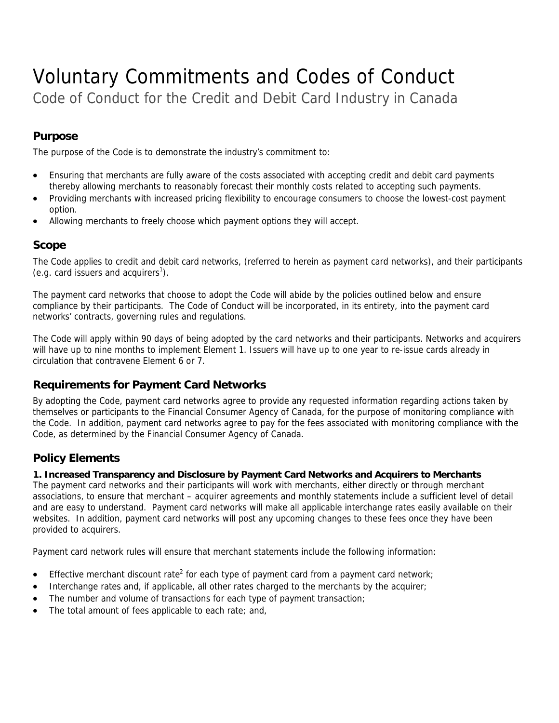# Voluntary Commitments and Codes of Conduct

Code of Conduct for the Credit and Debit Card Industry in Canada

## **Purpose**

The purpose of the Code is to demonstrate the industry's commitment to:

- Ensuring that merchants are fully aware of the costs associated with accepting credit and debit card payments thereby allowing merchants to reasonably forecast their monthly costs related to accepting such payments.
- Providing merchants with increased pricing flexibility to encourage consumers to choose the lowest-cost payment option.
- Allowing merchants to freely choose which payment options they will accept.

## **Scope**

The Code applies to credit and debit card networks, (referred to herein as payment card networks), and their participants (e.g. card issuers and acquirers<sup>1</sup>).

The payment card networks that choose to adopt the Code will abide by the policies outlined below and ensure compliance by their participants. The Code of Conduct will be incorporated, in its entirety, into the payment card networks' contracts, governing rules and regulations.

The Code will apply within 90 days of being adopted by the card networks and their participants. Networks and acquirers will have up to nine months to implement Element 1. Issuers will have up to one year to re-issue cards already in circulation that contravene Element 6 or 7.

## **Requirements for Payment Card Networks**

By adopting the Code, payment card networks agree to provide any requested information regarding actions taken by themselves or participants to the Financial Consumer Agency of Canada, for the purpose of monitoring compliance with the Code. In addition, payment card networks agree to pay for the fees associated with monitoring compliance with the Code, as determined by the Financial Consumer Agency of Canada.

## **Policy Elements**

#### **1. Increased Transparency and Disclosure by Payment Card Networks and Acquirers to Merchants**

The payment card networks and their participants will work with merchants, either directly or through merchant associations, to ensure that merchant – acquirer agreements and monthly statements include a sufficient level of detail and are easy to understand. Payment card networks will make all applicable interchange rates easily available on their websites. In addition, payment card networks will post any upcoming changes to these fees once they have been provided to acquirers.

Payment card network rules will ensure that merchant statements include the following information:

- **Effective merchant discount rate<sup>2</sup> for each type of payment card from a payment card network;**
- Interchange rates and, if applicable, all other rates charged to the merchants by the acquirer;
- The number and volume of transactions for each type of payment transaction;
- The total amount of fees applicable to each rate; and,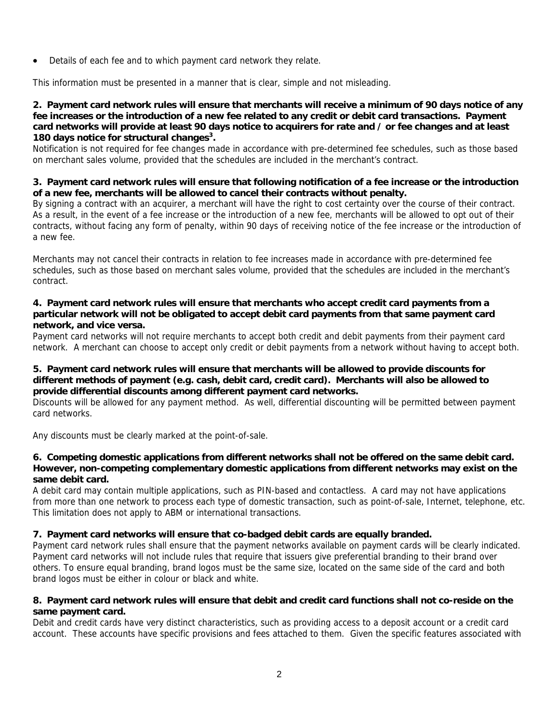Details of each fee and to which payment card network they relate.

This information must be presented in a manner that is clear, simple and not misleading.

#### **2. Payment card network rules will ensure that merchants will receive a minimum of 90 days notice of any fee increases or the introduction of a new fee related to any credit or debit card transactions. Payment card networks will provide at least 90 days notice to acquirers for rate and / or fee changes and at least 180 days notice for structural changes3 .**

Notification is not required for fee changes made in accordance with pre-determined fee schedules, such as those based on merchant sales volume, provided that the schedules are included in the merchant's contract.

#### **3. Payment card network rules will ensure that following notification of a fee increase or the introduction of a new fee, merchants will be allowed to cancel their contracts without penalty.**

By signing a contract with an acquirer, a merchant will have the right to cost certainty over the course of their contract. As a result, in the event of a fee increase or the introduction of a new fee, merchants will be allowed to opt out of their contracts, without facing any form of penalty, within 90 days of receiving notice of the fee increase or the introduction of a new fee.

Merchants may not cancel their contracts in relation to fee increases made in accordance with pre-determined fee schedules, such as those based on merchant sales volume, provided that the schedules are included in the merchant's contract.

#### **4. Payment card network rules will ensure that merchants who accept credit card payments from a particular network will not be obligated to accept debit card payments from that same payment card network, and vice versa.**

Payment card networks will not require merchants to accept both credit and debit payments from their payment card network. A merchant can choose to accept only credit or debit payments from a network without having to accept both.

#### **5. Payment card network rules will ensure that merchants will be allowed to provide discounts for different methods of payment (e.g. cash, debit card, credit card). Merchants will also be allowed to provide differential discounts among different payment card networks.**

Discounts will be allowed for any payment method. As well, differential discounting will be permitted between payment card networks.

Any discounts must be clearly marked at the point-of-sale.

#### **6. Competing domestic applications from different networks shall not be offered on the same debit card. However, non-competing complementary domestic applications from different networks may exist on the same debit card.**

A debit card may contain multiple applications, such as PIN-based and contactless. A card may not have applications from more than one network to process each type of domestic transaction, such as point-of-sale, Internet, telephone, etc. This limitation does not apply to ABM or international transactions.

#### **7. Payment card networks will ensure that co-badged debit cards are equally branded.**

Payment card network rules shall ensure that the payment networks available on payment cards will be clearly indicated. Payment card networks will not include rules that require that issuers give preferential branding to their brand over others. To ensure equal branding, brand logos must be the same size, located on the same side of the card and both brand logos must be either in colour or black and white.

#### **8. Payment card network rules will ensure that debit and credit card functions shall not co-reside on the same payment card.**

Debit and credit cards have very distinct characteristics, such as providing access to a deposit account or a credit card account. These accounts have specific provisions and fees attached to them. Given the specific features associated with